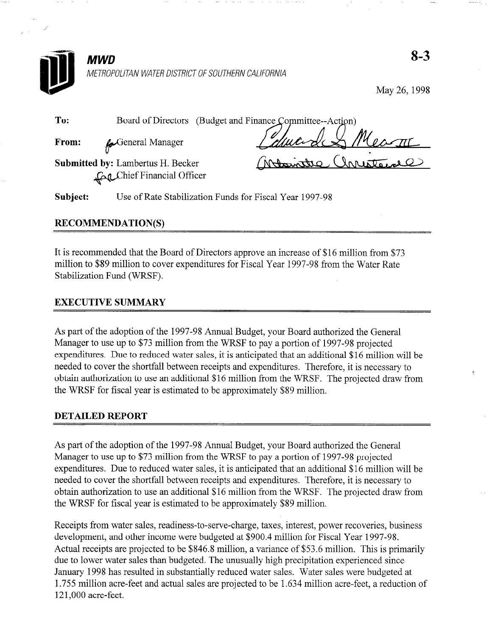

METROPOLITAN WATER DISTRICT OF SOUTHERN CALIFORNIA

May 26, 1998

| To:   |                         |                                                                                                    |
|-------|-------------------------|----------------------------------------------------------------------------------------------------|
| From: | <b>C</b> eneral Manager | Board of Directors (Budget and Finance Committee--Action)<br>General Manager<br>Colluce de Measure |

Submitted by: Lambertus H. Becker hief Financial Officer

Mariatre, Unresta

Subject: Use of Rate Stabilization Funds for Fiscal Year 1997-98

## RECOMMENDATION(S)

It is recommended that the Board of Directors approve an increase of \$16 million from \$73 million to \$89 million to cover expenditures for Fiscal Year 1997-98 from the Water Rate Stabilization Fund (WRSF).

## EXECUTIVE SUMMARY

As part of the adoption of the 1997-98 Annual Budget, your Board authorized the General Manager to use up to \$73 million from the WRSF to pay a portion of 1997-98 projected expenditures. Due to reduced water sales, it is anticipated that an additional \$16 million will be needed to cover the shortfall between receipts and expenditures. Therefore, it is necessary to obtain authorization to use an additional \$16 million from the WRSF. The projected draw from the WRSF for fiscal year is estimated to be approximately \$89 million.

## DETAILED REPORT

As part of the adoption of the 1997-98 Annual Budget, your Board authorized the General Manager to use up to \$73 million from the WRSF to pay a portion of 1997-98 projected expenditures. Due to reduced water sales, it is anticipated that an additional \$16 million will be needed to cover the shortfall between receipts and expenditures. Therefore, it is necessary to obtain authorization to use an additional \$16 million from the WRSF. The projected draw from the WRSF for fiscal year is estimated to be approximately \$89 million.

Receipts from water sales, readiness-to-serve-charge, taxes, interest, power recoveries, business development, and other income were budgeted at \$900.4 million for Fiscal Year 1997-98. Actual receipts are projected to be \$846.8 million, a variance of \$53.6 million. This is primarily due to lower water sales than budgeted. The unusually high precipitation experienced since January 1998 has resulted in substantially reduced water sales. Water sales were budgeted at 1.755 million acre-feet and actual sales are projected to be 1.634 million acre-feet, a reduction of 121,000 acre-feet.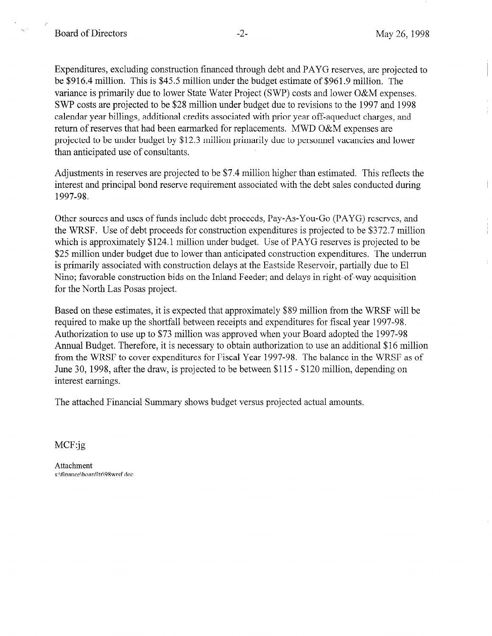/\*

Ť

Expenditures, excluding construction financed through debt and PAYG reserves, are projected to be \$916.4 million. This is \$45.5 million under the budget estimate of \$961.9 million. The variance is primarily due to lower State Water Project (SWP) costs and lower O&M expenses. SWP costs are projected to be \$28 million under budget due to revisions to the 1997 and 1998 calendar year billings, additional credits associated with prior year off-aqueduct charges, and return of reserves that had been earmarked for replacements. MWD O&M expenses are projected to be under budget by \$12.3 million primarily due to personnel vacancies and lower than anticipated use of consultants.

Adjustments in reserves are projected to be \$7.4 million higher than estimated. This reflects the interest and principal bond reserve requirement associated with the debt sales conducted during 1997-98.

Other sources and uses of funds include debt proceeds, Pay-As-You-Go (PAYG) reserves, and the WRSF. Use of debt proceeds for construction expenditures is projected to be \$372.7 million which is approximately \$124.1 million under budget. Use of PAYG reserves is projected to be \$25 million under budget due to lower than anticipated construction expenditures. The underrun is primarily associated with construction delays at the Eastside Reservoir, partially due to El Nino; favorable construction bids on the Inland Feeder; and delays in right-of-way acquisition for the North Las Posas project.

Based on these estimates, it is expected that approximately \$89 million from the WRSF will be required to make up the shortfall between receipts and expenditures for fiscal year 1997-98. Authorization to use up to \$73 million was approved when your Board adopted the 1997-98 Annual Budget. Therefore, it is necessary to obtain authorization to use an additional \$16 million from the WRSF to cover expenditures for Fiscal Year 1997-98. The balance in the WRSF as of June 30, 1998, after the draw, is projected to be between \$115 - \$120 million, depending on interest earnings.

The attached Financial Summary shows budget versus projected actual amounts.

MCF:jg

Attachment s:\finance\boardltr\98wrsf.doc